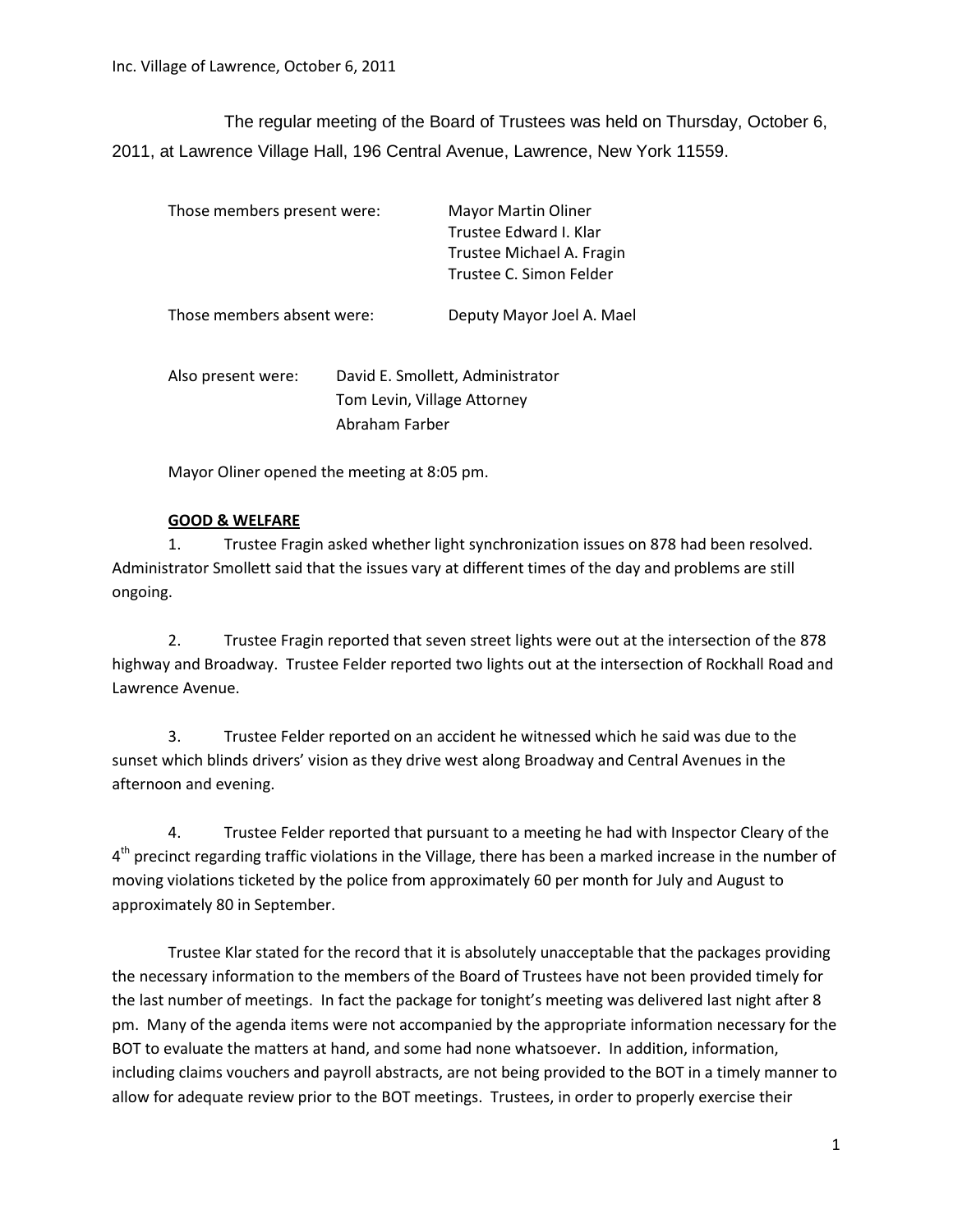The regular meeting of the Board of Trustees was held on Thursday, October 6, 2011, at Lawrence Village Hall, 196 Central Avenue, Lawrence, New York 11559.

| Those members present were: |                                                                                   | Mayor Martin Oliner<br>Trustee Edward I. Klar<br>Trustee Michael A. Fragin<br>Trustee C. Simon Felder |
|-----------------------------|-----------------------------------------------------------------------------------|-------------------------------------------------------------------------------------------------------|
| Those members absent were:  |                                                                                   | Deputy Mayor Joel A. Mael                                                                             |
| Also present were:          | David E. Smollett, Administrator<br>Tom Levin, Village Attorney<br>Abraham Farber |                                                                                                       |

Mayor Oliner opened the meeting at 8:05 pm.

## **GOOD & WELFARE**

1. Trustee Fragin asked whether light synchronization issues on 878 had been resolved. Administrator Smollett said that the issues vary at different times of the day and problems are still ongoing.

2. Trustee Fragin reported that seven street lights were out at the intersection of the 878 highway and Broadway. Trustee Felder reported two lights out at the intersection of Rockhall Road and Lawrence Avenue.

3. Trustee Felder reported on an accident he witnessed which he said was due to the sunset which blinds drivers' vision as they drive west along Broadway and Central Avenues in the afternoon and evening.

4. Trustee Felder reported that pursuant to a meeting he had with Inspector Cleary of the 4<sup>th</sup> precinct regarding traffic violations in the Village, there has been a marked increase in the number of moving violations ticketed by the police from approximately 60 per month for July and August to approximately 80 in September.

Trustee Klar stated for the record that it is absolutely unacceptable that the packages providing the necessary information to the members of the Board of Trustees have not been provided timely for the last number of meetings. In fact the package for tonight's meeting was delivered last night after 8 pm. Many of the agenda items were not accompanied by the appropriate information necessary for the BOT to evaluate the matters at hand, and some had none whatsoever. In addition, information, including claims vouchers and payroll abstracts, are not being provided to the BOT in a timely manner to allow for adequate review prior to the BOT meetings. Trustees, in order to properly exercise their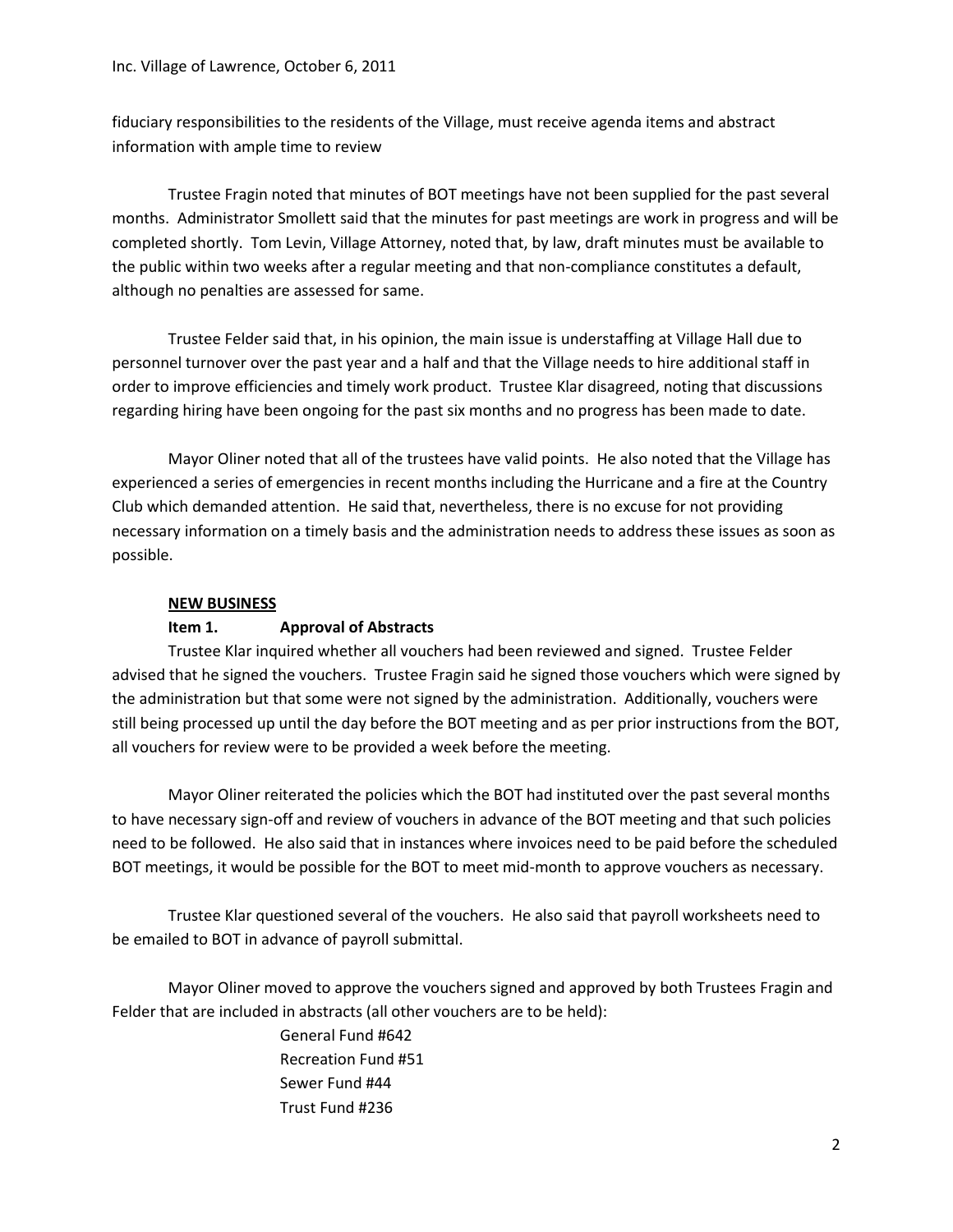fiduciary responsibilities to the residents of the Village, must receive agenda items and abstract information with ample time to review

Trustee Fragin noted that minutes of BOT meetings have not been supplied for the past several months. Administrator Smollett said that the minutes for past meetings are work in progress and will be completed shortly. Tom Levin, Village Attorney, noted that, by law, draft minutes must be available to the public within two weeks after a regular meeting and that non-compliance constitutes a default, although no penalties are assessed for same.

Trustee Felder said that, in his opinion, the main issue is understaffing at Village Hall due to personnel turnover over the past year and a half and that the Village needs to hire additional staff in order to improve efficiencies and timely work product. Trustee Klar disagreed, noting that discussions regarding hiring have been ongoing for the past six months and no progress has been made to date.

Mayor Oliner noted that all of the trustees have valid points. He also noted that the Village has experienced a series of emergencies in recent months including the Hurricane and a fire at the Country Club which demanded attention. He said that, nevertheless, there is no excuse for not providing necessary information on a timely basis and the administration needs to address these issues as soon as possible.

#### **NEW BUSINESS**

#### **Item 1. Approval of Abstracts**

Trustee Klar inquired whether all vouchers had been reviewed and signed. Trustee Felder advised that he signed the vouchers. Trustee Fragin said he signed those vouchers which were signed by the administration but that some were not signed by the administration. Additionally, vouchers were still being processed up until the day before the BOT meeting and as per prior instructions from the BOT, all vouchers for review were to be provided a week before the meeting.

Mayor Oliner reiterated the policies which the BOT had instituted over the past several months to have necessary sign-off and review of vouchers in advance of the BOT meeting and that such policies need to be followed. He also said that in instances where invoices need to be paid before the scheduled BOT meetings, it would be possible for the BOT to meet mid-month to approve vouchers as necessary.

Trustee Klar questioned several of the vouchers. He also said that payroll worksheets need to be emailed to BOT in advance of payroll submittal.

Mayor Oliner moved to approve the vouchers signed and approved by both Trustees Fragin and Felder that are included in abstracts (all other vouchers are to be held):

> General Fund #642 Recreation Fund #51 Sewer Fund #44 Trust Fund #236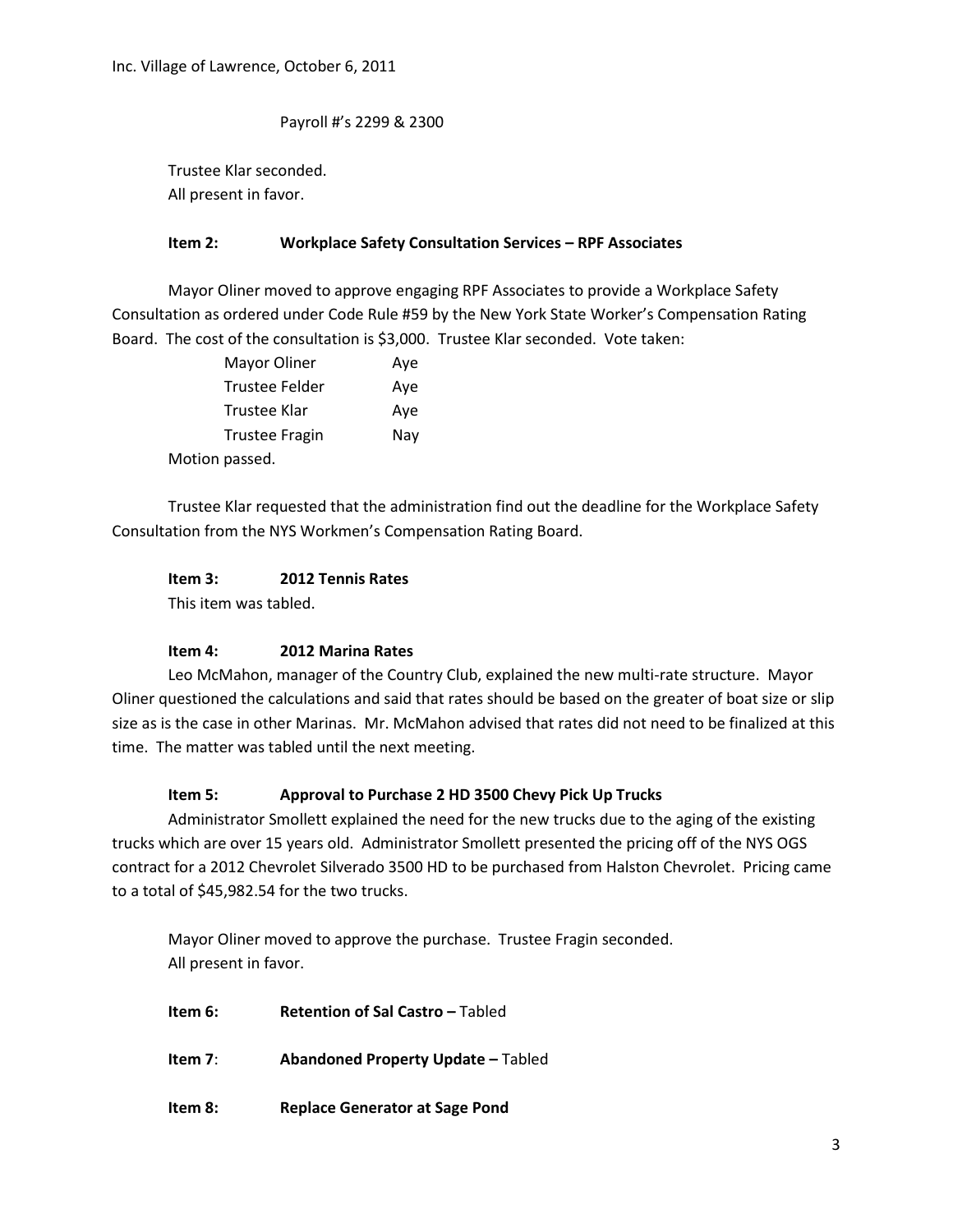Payroll #'s 2299 & 2300

Trustee Klar seconded. All present in favor.

#### **Item 2: Workplace Safety Consultation Services – RPF Associates**

Mayor Oliner moved to approve engaging RPF Associates to provide a Workplace Safety Consultation as ordered under Code Rule #59 by the New York State Worker's Compensation Rating Board. The cost of the consultation is \$3,000. Trustee Klar seconded. Vote taken:

| Mayor Oliner          | Aye |
|-----------------------|-----|
| Trustee Felder        | Aye |
| Trustee Klar          | Aye |
| <b>Trustee Fragin</b> | Nay |
| Motion passed.        |     |

Trustee Klar requested that the administration find out the deadline for the Workplace Safety Consultation from the NYS Workmen's Compensation Rating Board.

## **Item 3: 2012 Tennis Rates**

This item was tabled.

## **Item 4: 2012 Marina Rates**

Leo McMahon, manager of the Country Club, explained the new multi-rate structure. Mayor Oliner questioned the calculations and said that rates should be based on the greater of boat size or slip size as is the case in other Marinas. Mr. McMahon advised that rates did not need to be finalized at this time. The matter was tabled until the next meeting.

## **Item 5: Approval to Purchase 2 HD 3500 Chevy Pick Up Trucks**

Administrator Smollett explained the need for the new trucks due to the aging of the existing trucks which are over 15 years old. Administrator Smollett presented the pricing off of the NYS OGS contract for a 2012 Chevrolet Silverado 3500 HD to be purchased from Halston Chevrolet. Pricing came to a total of \$45,982.54 for the two trucks.

Mayor Oliner moved to approve the purchase. Trustee Fragin seconded. All present in favor.

**Item 6: Retention of Sal Castro –** Tabled **Item 7**: **Abandoned Property Update –** Tabled **Item 8: Replace Generator at Sage Pond**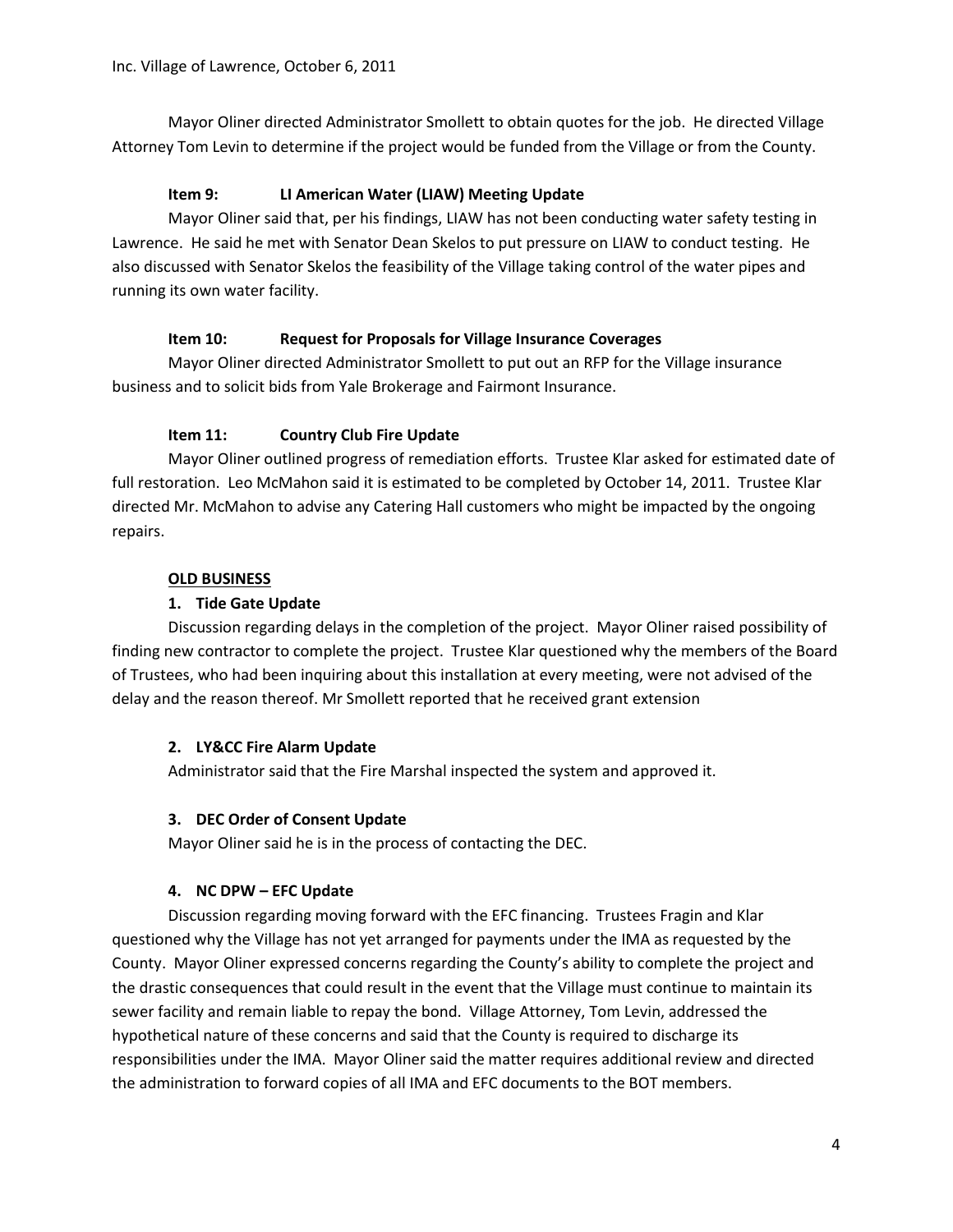Mayor Oliner directed Administrator Smollett to obtain quotes for the job. He directed Village Attorney Tom Levin to determine if the project would be funded from the Village or from the County.

## **Item 9: LI American Water (LIAW) Meeting Update**

Mayor Oliner said that, per his findings, LIAW has not been conducting water safety testing in Lawrence. He said he met with Senator Dean Skelos to put pressure on LIAW to conduct testing. He also discussed with Senator Skelos the feasibility of the Village taking control of the water pipes and running its own water facility.

## **Item 10: Request for Proposals for Village Insurance Coverages**

Mayor Oliner directed Administrator Smollett to put out an RFP for the Village insurance business and to solicit bids from Yale Brokerage and Fairmont Insurance.

# **Item 11: Country Club Fire Update**

Mayor Oliner outlined progress of remediation efforts. Trustee Klar asked for estimated date of full restoration. Leo McMahon said it is estimated to be completed by October 14, 2011. Trustee Klar directed Mr. McMahon to advise any Catering Hall customers who might be impacted by the ongoing repairs.

## **OLD BUSINESS**

## **1. Tide Gate Update**

Discussion regarding delays in the completion of the project. Mayor Oliner raised possibility of finding new contractor to complete the project. Trustee Klar questioned why the members of the Board of Trustees, who had been inquiring about this installation at every meeting, were not advised of the delay and the reason thereof. Mr Smollett reported that he received grant extension

## **2. LY&CC Fire Alarm Update**

Administrator said that the Fire Marshal inspected the system and approved it.

# **3. DEC Order of Consent Update**

Mayor Oliner said he is in the process of contacting the DEC.

# **4. NC DPW – EFC Update**

Discussion regarding moving forward with the EFC financing. Trustees Fragin and Klar questioned why the Village has not yet arranged for payments under the IMA as requested by the County. Mayor Oliner expressed concerns regarding the County's ability to complete the project and the drastic consequences that could result in the event that the Village must continue to maintain its sewer facility and remain liable to repay the bond. Village Attorney, Tom Levin, addressed the hypothetical nature of these concerns and said that the County is required to discharge its responsibilities under the IMA. Mayor Oliner said the matter requires additional review and directed the administration to forward copies of all IMA and EFC documents to the BOT members.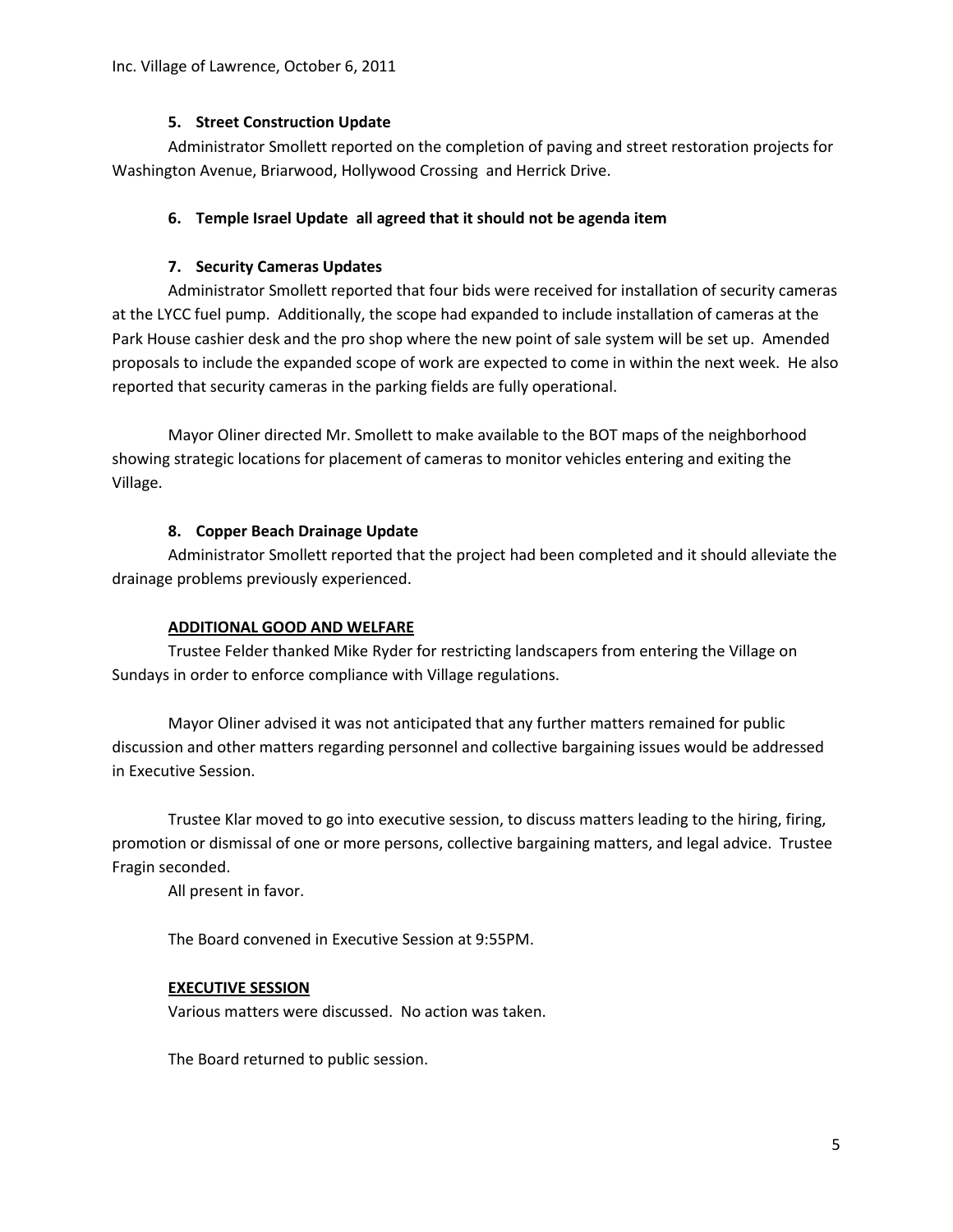## **5. Street Construction Update**

Administrator Smollett reported on the completion of paving and street restoration projects for Washington Avenue, Briarwood, Hollywood Crossing and Herrick Drive.

## **6. Temple Israel Update all agreed that it should not be agenda item**

## **7. Security Cameras Updates**

Administrator Smollett reported that four bids were received for installation of security cameras at the LYCC fuel pump. Additionally, the scope had expanded to include installation of cameras at the Park House cashier desk and the pro shop where the new point of sale system will be set up. Amended proposals to include the expanded scope of work are expected to come in within the next week. He also reported that security cameras in the parking fields are fully operational.

Mayor Oliner directed Mr. Smollett to make available to the BOT maps of the neighborhood showing strategic locations for placement of cameras to monitor vehicles entering and exiting the Village.

## **8. Copper Beach Drainage Update**

Administrator Smollett reported that the project had been completed and it should alleviate the drainage problems previously experienced.

## **ADDITIONAL GOOD AND WELFARE**

Trustee Felder thanked Mike Ryder for restricting landscapers from entering the Village on Sundays in order to enforce compliance with Village regulations.

Mayor Oliner advised it was not anticipated that any further matters remained for public discussion and other matters regarding personnel and collective bargaining issues would be addressed in Executive Session.

Trustee Klar moved to go into executive session, to discuss matters leading to the hiring, firing, promotion or dismissal of one or more persons, collective bargaining matters, and legal advice. Trustee Fragin seconded.

All present in favor.

The Board convened in Executive Session at 9:55PM.

# **EXECUTIVE SESSION**

Various matters were discussed. No action was taken.

The Board returned to public session.